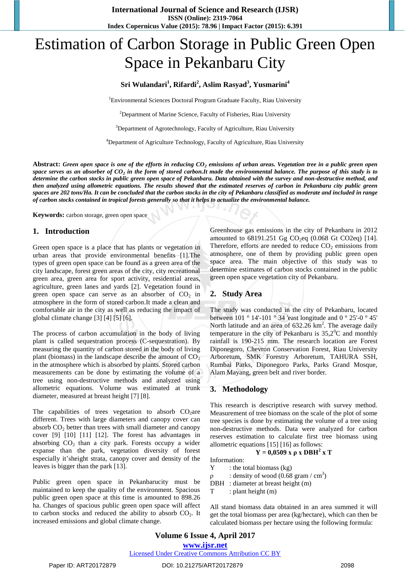# Estimation of Carbon Storage in Public Green Open Space in Pekanbaru City

### **Sri Wulandari<sup>1</sup> , Rifardi<sup>2</sup> , Aslim Rasyad<sup>3</sup> , Yusmarini<sup>4</sup>**

<sup>1</sup>Environmental Sciences Doctoral Program Graduate Faculty, Riau University

 $2D$ epartment of Marine Science, Faculty of Fisheries, Riau University

<sup>3</sup>Department of Agrotechnology, Faculty of Agriculture, Riau University

<sup>4</sup>Department of Agriculture Technology, Faculty of Agriculture, Riau University

**Abstract:** *Green open space is one of the efforts in reducing CO<sup>2</sup> emissions of urban areas. Vegetation tree in a public green open space serves as an absorber of CO<sup>2</sup> in the form of stored carbon.It made the environmental balance. The purpose of this study is to determine the carbon stocks in public green open space of Pekanbaru. Data obtained with the survey and non-destructive method, and then analyzed using allometric equations. The results showed that the estimated reserves of carbon in Pekanbaru city public green spaces are 202 tons/Ha. It can be concluded that the carbon stocks in the city of Pekanbaru classified as moderate and included in range of carbon stocks contained in tropical forests generally so that it helps to actualize the environmental balance.*

**Keywords:** carbon storage, green open space

#### **1. Introduction**

Green open space is a place that has plants or vegetation in urban areas that provide environmental benefits [1].The types of green open space can be found as a green area of the city landscape, forest green areas of the city, city recreational green area, green area for sport activity, residential areas, agriculture, green lanes and yards [2]. Vegetation found in green open space can serve as an absorber of  $CO<sub>2</sub>$  in atmosphere in the form of stored carbon.It made a clean and comfortable air in the city as well as reducing the impact of global climate change [3] [4] [5] [6].

The process of carbon accumulation in the body of living plant is called sequestration process (C-sequestration). By measuring the quantity of carbon stored in the body of living plant (biomass) in the landscape describe the amount of  $CO<sub>2</sub>$ in the atmosphere which is absorbed by plants. Stored carbon measurements can be done by estimating the volume of a tree using non-destructive methods and analyzed using allometric equations. Volume was estimated at trunk diameter, measured at breast height [7] [8].

The capabilities of trees vegetation to absorb  $CO<sub>2</sub>$ are different. Trees with large diameters and canopy cover can absorb  $CO<sub>2</sub>$  better than trees with small diameter and canopy cover [9] [10] [11] [12]. The forest has advantages in absorbing  $CO<sub>2</sub>$  than a city park. Forests occupy a wider expanse than the park, vegetation diversity of forest especially it'sheight strata, canopy cover and density of the leaves is bigger than the park [13].

Public green open space in Pekanbarucity must be maintained to keep the quality of the environment. Spacious public green open space at this time is amounted to 898.26 ha. Changes of spacious public green open space will affect to carbon stocks and reduced the ability to absorb  $CO<sub>2</sub>$ . It increased emissions and global climate change.

Greenhouse gas emissions in the city of Pekanbaru in 2012 amounted to  $68191.251$  Gg CO<sub>2</sub>eq (0.068 Gt CO2eq) [14]. Therefore, efforts are needed to reduce  $CO<sub>2</sub>$  emissions from atmosphere, one of them by providing public green open space area. The main objective of this study was to determine estimates of carbon stocks contained in the public green open space vegetation city of Pekanbaru.

#### **2. Study Area**

The study was conducted in the city of Pekanbaru, located between  $101 \degree 14'$ -101  $\degree 34$  'east longitude and 0  $\degree 25'$ -0  $\degree 45'$ North latitude and an area of  $632.26 \text{ km}^2$ . The average daily temperature in the city of Pekanbaru is  $35.2^{\circ}$ C and monthly rainfall is 190-215 mm. The research location are Forest Diponegoro, Chevron Conservation Forest, Riau University Arboretum, SMK Forestry Arboretum, TAHURA SSH, Rumbai Parks, Diponegoro Parks, Parks Grand Mosque, Alam Mayang, green belt and river border.

#### **3. Methodology**

This research is descriptive research with survey method. Measurement of tree biomass on the scale of the plot of some tree species is done by estimating the volume of a tree using non-destructive methods. Data were analyzed for carbon reserves estimation to calculate first tree biomass using allometric equations [15] [16] as follows:

**Y** = 0,0509 **x**  $\rho$  **x** DBH<sup>2</sup> **x T** 

## Information:

- $Y$  : the total biomass (kg)
- $ρ$  : density of wood (0.68 gram / cm<sup>3</sup>)
- DBH : diameter at breast height (m)
- T : plant height (m)

All stand biomass data obtained in an area summed it will get the total biomass per area (kg/hectare), which can then be calculated biomass per hectare using the following formula: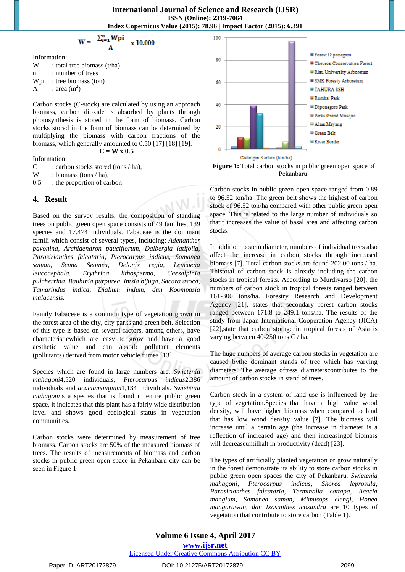**International Journal of Science and Research (IJSR) ISSN (Online): 2319-7064 Index Copernicus Value (2015): 78.96 | Impact Factor (2015): 6.391**

$$
W = \frac{\sum_{i=1}^{n} Wpi}{A} \times 10.000
$$

Information:

W : total tree biomass  $(t/ha)$ n : number of trees Wpi : tree biomass (ton) A : area  $(m^2)$ 

Carbon stocks (C-stock) are calculated by using an approach biomass, carbon dioxide is absorbed by plants through photosynthesis is stored in the form of biomass. Carbon stocks stored in the form of biomass can be determined by multiplying the biomass with carbon fractions of the biomass, which generally amounted to 0.50 [17] [18] [19]. **W x 0.5** 

$$
\mathbf{C} =
$$

Information: C : carbon stocks stored (tons / ha),<br>W : biomass (tons / ha).

 $:$  biomass (tons / ha),

0.5 : the proportion of carbon

#### **4. Result**

Based on the survey results, the composition of standing trees on public green open space consists of 49 families, 139 species and 17.474 individuals. Fabaceae is the dominant famili which consist of several types, including: *Adenanther pavonina, Archidendron pauciflorum, Dalbergia latifolia, Parasirianthes falcataria, Pterocarpus indicus, Samanea saman, Senna Seamea, Delonix regia, Leucaena leucocephala, Erythrina lithosperma, Caesalpinia pulcherrina, Bauhinia purpurea, Intsia bijuga, Sacara asoca, Tamarindus indica, Dialium indum, dan Koompasia malacensis.*

Family Fabaceae is a common type of vegetation grown in the forest area of the city, city parks and green belt. Selection of this type is based on several factors, among others, have characteristicwhich are easy to grow and have a good aesthetic value and can absorb pollutant elements (pollutants) derived from motor vehicle fumes [13].

Species which are found in large numbers are: *Swietenia mahagoni*4,520 individuals, *Pterocarpus indicus*2,386 individuals and *acaciamangium*1,134 individuals. *Swietenia mahagoni*is a species that is found in entire public green space, it indicates that this plant has a fairly wide distribution level and shows good ecological status in vegetation communities.

Carbon stocks were determined by measurement of tree biomass. Carbon stocks are 50% of the measured biomass of trees. The results of measurements of biomass and carbon stocks in public green open space in Pekanbaru city can be seen in Figure 1.





Carbon stocks in public green open space ranged from 0.89 to 96.52 ton/ha. The green belt shows the highest of carbon stock of 96.52 ton/ha compared with other public green open space. This is related to the large number of individuals so thatit increases the value of basal area and affecting carbon stocks.

In addition to stem diameter, numbers of individual trees also affect the increase in carbon stocks through increased biomass [7]. Total carbon stocks are found 202.00 tons / ha. Thistotal of carbon stock is already including the carbon stocks in tropical forests. According to Murdiyarso [20], the numbers of carbon stock in tropical forests ranged between 161-300 tons/ha. Forestry Research and Development Agency [21], states that secondary forest carbon stocks ranged between 171.8 to 249.1 tons/ha. The results of the study from Japan International Cooperation Agency (JICA) [22], state that carbon storage in tropical forests of Asia is varying between 40-250 tons C / ha.

The huge numbers of average carbon stocks in vegetation are caused bythe dominant stands of tree which has varying diameters. The average oftress diameterscontributes to the amount of carbon stocks in stand of trees.

Carbon stock in a system of land use is influenced by the type of vegetation.Species that have a high value wood density, will have higher biomass when compared to land that has low wood density value [7]. The biomass will increase until a certain age (the increase in diameter is a reflection of increased age) and then increasingof biomass will decreaseuntilhalt in productivity (dead) [23].

The types of artificially planted vegetation or grow naturally in the forest demonstrate its ability to store carbon stocks in public green open spaces the city of Pekanbaru. *Swietenia mahagoni, Pterocarpus indicus, Shorea leprosula, Parasirianthes falcataria, Terminalia cattapa, Acacia mangium, Samanea saman, Mimusops elengi, Hopea mangarawan, dan Ixosanthes icosandra* are 10 types of vegetation that contribute to store carbon (Table 1).

Paper ID: ART20172879 DOI: 10.21275/ART20172879 2099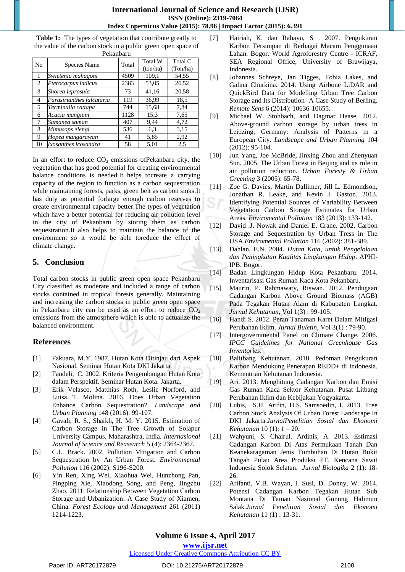**Table 1:** The types of vegetation that contribute greatly to the value of the carbon stock in a public green open space of Pekanbaru

| No             | Species Name              | Total | <b>Total W</b> | Total C  |
|----------------|---------------------------|-------|----------------|----------|
|                |                           |       | (ton/ha)       | (Ton/ha) |
| $\mathbf{1}$   | Swietenia mahagoni        | 4509  | 109,1          | 54,55    |
| 2              | Pterocarpus indicus       | 2383  | 53,05          | 26,52    |
| 3              | Shorea leprosula          | 73    | 41,16          | 20,58    |
| $\overline{4}$ | Parasirianthes falcataria | 119   | 36,99          | 18.5     |
| 5              | Terminalia cattapa        | 744   | 15,68          | 7,84     |
| 6              | Acacia mangium            | 1128  | 15.3           | 7,65     |
| 7              | Samanea saman             | 407   | 9,44           | 4,72     |
| 8              | Mimusops elengi           | 536   | 6,3            | 3,15     |
| 9              | Hopea mangarawan          | 41    | 5,85           | 2,92     |
|                | Ixosanthes icosandra      | 58    | 5,01           | 2.5      |

In an effort to reduce  $CO<sub>2</sub>$  emissions of Pekanbaru city, the vegetation that has good potential for creating environmental balance conditions is needed.It helps tocreate a carrying capacity of the region to function as a carbon sequestration while maintaining forests, parks, green belt as carbon sinks.It has duty as potential forlarge enough carbon reserves to create environmental capacity better.The types of vegetation which have a better potential for reducing air pollution level in the city of Pekanbaru by storing them as carbon sequestration.It also helps to maintain the balance of the environment so it would be able toreduce the effect of climate change.

## **5. Conclusion**

Total carbon stocks in public green open space Pekanbaru City classified as moderate and included a range of carbon stocks contained in tropical forests generally. Maintaining and increasing the carbon stocks in public green open space in Pekanbaru city can be used as an effort to reduce  $CO<sub>2</sub>$ emissions from the atmosphere which is able to actualize the balanced environment.

## **References**

- [1] Fakuara, M.Y. 1987. Hutan Kota Ditinjau dari Aspek Nasional. Seminar Hutan Kota DKI Jakarta.
- [2] Fandeli, C. 2002. Kriteria Pengembangan Hutan Kota dalam Perspektif. Seminar Hutan Kota. Jakarta.
- [3] Erik Velasco, Matthias Roth, Leslie Norford, and Luisa T. Molina. 2016. Does Urban Vegetation Enhance Carbon Sequestration?. *Landscape and Urban Planning* 148 (2016): 99-107.
- [4] Gavali, R. S., Shaikh, H. M. Y. 2015. Estimation of Carbon Storage in The Tree Growth of Solapur University Campus, Maharashtra, India. *Internasional Journal of Science and Reasearch* 5 (4): 2364-2367.
- [5] C.L. Brack. 2002. Pollution Mitigation and Carbon Sequestration by An Urban Forest. *Environmental Pollution* 116 (2002): S196-S200.
- [6] Yin Ren, Xing Wei, Xiaohua Wei, Hunzhong Pan, Pingping Xie, Xiaodong Song, and Peng, Jingzhu Zhao. 2011. Relationship Between Vegetation Carbon Storage and Urbanization: A Case Study of Xiamen, China. *Forest Ecology and Management* 261 (2011) 1214-1223.
- [7] Hairiah, K. dan Rahayu, S . 2007. Pengukuran Karbon Tersimpan di Berbagai Macam Penggunaan Lahan. Bogor. World Agroforestry Centre - ICRAF, SEA Regional Office, University of Brawijaya, Indonesia.
- [8] Johannes Schreye, Jan Tigges, Tobia Lakes, and Galina Churkina. 2014. Using Airbone LiDAR and QuickBird Data for Modelling Urban Tree Carbon Storage and Its Distribution- A Case Study of Berling. *Remote Sens* 6 (2014): 10636-10655.
- [9] Michael W. Stohbach, and Dagmar Haase. 2012. Above-ground carbon storage by urban tress in Leipzing, Germany: Analysis of Patterns in a European City. *Landscape and Urban Planning* 104 (2012): 95-104.
- [10] Jun Yang, Joe McBride, Jinxing Zhou and Zhenyuan Sun. 2005. The Urban Forest in Beijing and its role in air pollution reduction. *Urban Foresty & Urban Greening* 3 (2005): 65-78.
- [11] Zoe G. Davies, Martin Dallimer, Jill L. Edmondson, Jonathan R. Leake, and Kevin J. Gaston. 2013. Identifying Potential Sources of Variability Between Vegetation Carbon Storage Estimates for Urban Areas. *Enviromental Pollution* 183 (2013): 133-142.
- [12] David .J. Nowak and Daniel E. Crane. 2002. Carbon Storage and Sequestration by Urban Tress in The USA.*Enviromental Pollution* 116 (2002): 381-389.
- [13] Dahlan, E.N. 2004. *Hutan Kota, untuk Pengelolaan dan Peningkatan Kualitas Lingkungan Hidup*. APHI-IPB. Bogor.
- [14] Badan Lingkungan Hidup Kota Pekanbaru. 2014. Inventarisasi Gas Rumah Kaca Kota Pekanbaru.
- [15] Maurin, P. Rahmawaty, Riswan. 2012. Pendugaan Cadangan Karbon Above Ground Biomass (AGB) Pada Tegakan Hutan Alam di Kabupaten Langkat. *Jurnal Kehutanan*, Vol 1(3) : 99-105.
- [16] Handi S. 2012. Peran Tanaman Karet Dalam Mitigasi Perubahan Iklim. *Jurnal Buletin,* Vol 3(1) : 79-90.
- [17] Intergovernmental Panel on Climate Change. 2006. *IPCC Guidelines for National Greenhouse Gas Inventories*.
- [18] Balitbang Kehutanan. 2010. Pedoman Pengukuran Karbon Mendukung Penerapan REDD+ di Indonesia. Kementrian Kehutanan Indonesia.
- [19] Ari. 2013. Menghitung Cadangan Karbon dan Emisi Gas Rumah Kaca Sektor Kehutanan. Pusat Litbang Perubahan Iklim dan Kebijakan Yogyakarta.
- [20] Lubis, S.H. Arifin, H.S. Samsoedin, I. 2013. Tree Carbon Stock Analysis Of Urban Forest Landscape In DKI Jakarta.*JurnalPenelitian Sosial dan Ekonomi Kehutanan* 10 (1): 1 – 20.
- [21] Wahyuni, S. Chairul. Ardinis, A. 2013. Estimasi Cadangan Karbon Di Atas Permukaan Tanah Dan Keanekaragaman Jenis Tumbuhan Di Hutan Bukit Tangah Pulau Area Produksi PT. Kencana Sawit Indonesia Solok Selatan. *Jurnal Biologika* 2 (1): 18- 26.
- [22] Arifanti, V.B. Wayan, I. Susi, D. Donny, W. 2014. Potensi Cadangan Karbon Tegakan Hutan Sub Montana Di Taman Nasional Gunung Halimun Salak.*Jurnal Penelitian Sosial dan Ekonomi Kehutanan* 11 (1) : 13-31.

# **Volume 6 Issue 4, April 2017**

**www.ijsr.net**

#### Licensed Under Creative Commons Attribution CC BY